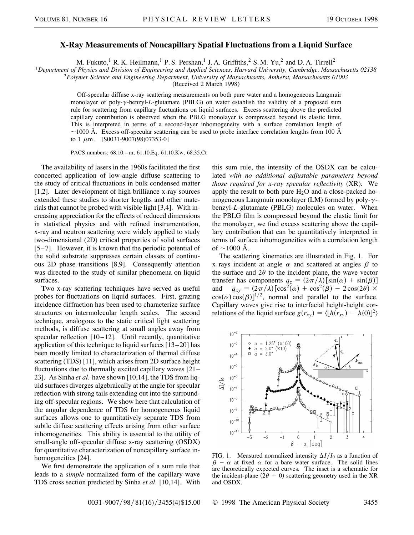## **X-Ray Measurements of Noncapillary Spatial Fluctuations from a Liquid Surface**

M. Fukuto,<sup>1</sup> R. K. Heilmann,<sup>1</sup> P. S. Pershan,<sup>1</sup> J. A. Griffiths,<sup>2</sup> S. M. Yu,<sup>2</sup> and D. A. Tirrell<sup>2</sup>

<sup>1</sup>Department of Physics and Division of Engineering and Applied Sciences, Harvard University, Cambridge, Massachusetts 02138<br><sup>2</sup>Polymer Science and Engineering Department, University of Massachusetts, Amherst, Massachuse

(Received 2 March 1998)

Off-specular diffuse x-ray scattering measurements on both pure water and a homogeneous Langmuir monolayer of poly-y-benzyl-L-glutamate (PBLG) on water establish the validity of a proposed sum rule for scattering from capillary fluctuations on liquid surfaces. Excess scattering above the predicted capillary contribution is observed when the PBLG monolayer is compressed beyond its elastic limit. This is interpreted in terms of a second-layer inhomogeneity with a surface correlation length of  $\sim$ 1000 Å. Excess off-specular scattering can be used to probe interface correlation lengths from 100 Å to 1  $\mu$ m. [S0031-9007(98)07353-0]

PACS numbers: 68.10.–m, 61.10.Eq, 61.10.Kw, 68.35.Ct

The availability of lasers in the 1960s facilitated the first concerted application of low-angle diffuse scattering to the study of critical fluctuations in bulk condensed matter [1,2]. Later development of high brilliance x-ray sources extended these studies to shorter lengths and other materials that cannot be probed with visible light [3,4]. With increasing appreciation for the effects of reduced dimensions in statistical physics and with refined instrumentation, x-ray and neutron scattering were widely applied to study two-dimensional (2D) critical properties of solid surfaces [5–7]. However, it is known that the periodic potential of the solid substrate suppresses certain classes of continuous 2D phase transitions [8,9]. Consequently attention was directed to the study of similar phenomena on liquid surfaces.

Two x-ray scattering techniques have served as useful probes for fluctuations on liquid surfaces. First, grazing incidence diffraction has been used to characterize surface structures on intermolecular length scales. The second technique, analogous to the static critical light scattering methods, is diffuse scattering at small angles away from specular reflection  $[10-12]$ . Until recently, quantitative application of this technique to liquid surfaces [13–20] has been mostly limited to characterization of thermal diffuse scattering (TDS) [11], which arises from 2D surface height fluctuations due to thermally excited capillary waves [21– 23]. As Sinha *et al.* have shown [10,14], the TDS from liquid surfaces diverges algebraically at the angle for specular reflection with strong tails extending out into the surrounding off-specular regions. We show here that calculation of the angular dependence of TDS for homogeneous liquid surfaces allows one to quantitatively separate TDS from subtle diffuse scattering effects arising from other surface inhomogeneities. This ability is essential to the utility of small-angle off-specular diffuse x-ray scattering (OSDX) for quantitative characterization of noncapillary surface inhomogeneities [24].

We first demonstrate the application of a sum rule that leads to a *simple* normalized form of the capillary-wave TDS cross section predicted by Sinha *et al.* [10,14]. With

this sum rule, the intensity of the OSDX can be calculated *with no additional adjustable parameters beyond those required for x-ray specular reflectivity* (XR). We apply the result to both pure  $H_2O$  and a close-packed homogeneous Langmuir monolayer (LM) formed by poly- $\gamma$ benzyl-*L*-glutamate (PBLG) molecules on water. When the PBLG film is compressed beyond the elastic limit for the monolayer, we find excess scattering above the capillary contribution that can be quantitatively interpreted in terms of surface inhomogeneities with a correlation length of  $~1000$  Å.

The scattering kinematics are illustrated in Fig. 1. For x rays incident at angle  $\alpha$  and scattered at angles  $\beta$  to the surface and  $2\theta$  to the incident plane, the wave vector transfer has components  $q_z = (2\pi/\lambda) [\sin(\alpha) + \sin(\beta)]$ and  $q_{xy} = (2\pi/\lambda)[\cos^2(\alpha) + \cos^2(\beta) - 2\cos(2\theta)] \times$  $\cos(\alpha) \cos(\beta)$ <sup>1/2</sup>, normal and parallel to the surface. Capillary waves give rise to interfacial height-height correlations of the liquid surface  $g(r_{xy}) = \langle [h(r_{xy}) - h(0)]^2 \rangle$ 



FIG. 1. Measured normalized intensity  $\Delta I/I_0$  as a function of  $\beta - \alpha$  at fixed  $\alpha$  for a bare water surface. The solid lines are theoretically expected curves. The inset is a schematic for the incident-plane  $(2\theta = 0)$  scattering geometry used in the XR and OSDX.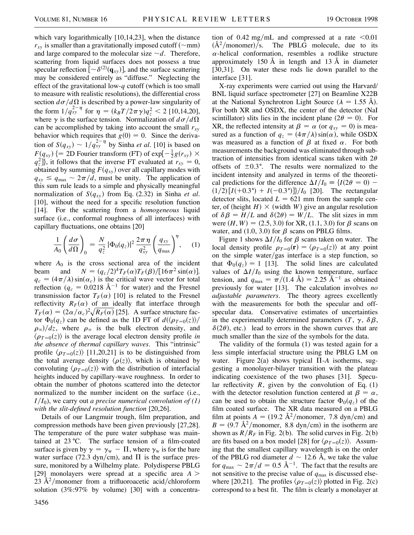which vary logarithmically [10,14,23], when the distance  $r_{xy}$  is smaller than a gravitationally imposed cutoff ( $\sim$ mm) and large compared to the molecular size  $\sim d$ . Therefore, scattering from liquid surfaces does not possess a true specular reflection  $\left[ \sim \delta^{(2)}(\mathbf{q}_{xy}) \right]$ , and the surface scattering may be considered entirely as "diffuse." Neglecting the effect of the gravitational low-*q* cutoff (which is too small to measure with realistic resolutions), the differential cross section  $d\sigma/d\Omega$  is described by a power-law singularity of the form  $1/q_{xy}^{2-\eta}$  for  $\eta = (k_B T/2\pi \gamma)q_z^2 < 2$  [10,14,20], where  $\gamma$  is the surface tension. Normalization of  $d\sigma/d\Omega$ can be accomplished by taking into account the small  $r_{xy}$ behavior which requires that  $g(0) = 0$ . Since the derivation of  $S(q_{xy}) \sim 1/q_{xy}^{2-\eta}$  by Sinha *et al.* [10] is based on  $F(q_{xy})$  {= 2D Fourier transform (FT) of exp[ $-\frac{1}{2}g(r_{xy}) \times$  $q_z^2$ ], it follows that the inverse FT evaluated at  $r_{xy} = 0$ , obtained by summing  $F(q_{xy})$  over all capillary modes with  $q_{xy} \leq q_{\text{max}} \sim 2\pi/d$ , must be unity. The application of this sum rule leads to a simple and physically meaningful normalization of  $S(q_{xy})$  from Eq. (2.32) in Sinha *et al.* [10], without the need for a specific resolution function [14]. For the scattering from a *homogeneous* liquid surface (i.e., conformal roughness of all interfaces) with capillary fluctuations, one obtains [20]

$$
\frac{1}{A_0} \left( \frac{d\sigma}{d\Omega} \right)_0 = \frac{N}{q_z^2} \left| \Phi_0(q_z) \right|^2 \frac{2\pi\,\eta}{q_{xy}^2} \left( \frac{q_{xy}}{q_{\text{max}}} \right)^{\eta}, \quad (1)
$$

where  $A_0$  is the cross sectional area of the incident beam and  $N = (q_c/2)^4 T_F(\alpha) T_F(\beta) / [16\pi^2 \sin(\alpha)].$  $q_c = (4\pi/\lambda)\sin(\alpha_c)$  is the critical wave vector for total reflection ( $q_c = 0.0218 \text{ Å}^{-1}$  for water) and the Fresnel transmission factor  $T_F(\alpha)$  [10] is related to the Fresnel reflectivity  $R_F(\alpha)$  of an ideally flat interface through  $T_F(\alpha) = (2\alpha/\alpha_c)^2 \sqrt{R_F(\alpha)}$  [25]. A surface structure factor  $\Phi_0(q_z)$  can be defined as the 1D FT of  $d(\langle \rho_{T=0}(z) \rangle /$  $\rho_{\infty}$ / $dz$ , where  $\rho_{\infty}$  is the bulk electron density, and  $\langle \rho_{T=0}(z) \rangle$  is the average local electron density profile *in the absence of thermal capillary waves*. This "intrinsic" profile  $\langle \rho_{T=0}(z) \rangle$  [11,20,21] is to be distinguished from the total average density  $\langle \rho(z) \rangle$ , which is obtained by convoluting  $\langle \rho_{T=0}(z) \rangle$  with the distribution of interfacial heights induced by capillary-wave roughness. In order to obtain the number of photons scattered into the detector normalized to the number incident on the surface (i.e.,  $I/I_0$ , we carry out *a precise numerical convolution of* (1) *with the slit-defined resolution function* [20,26].

Details of our Langmuir trough, film preparation, and compression methods have been given previously [27,28]. The temperature of the pure water subphase was maintained at  $23 \text{ °C}$ . The surface tension of a film-coated surface is given by  $\gamma = \gamma_w - \Pi$ , where  $\gamma_w$  is for the bare water surface (72.3 dyn/cm), and  $\Pi$  is the surface pressure, monitored by a Wilhelmy plate. Polydisperse PBLG [29] monolayers were spread at a specific area  $A >$ 23 Å<sup>2</sup>/monomer from a trifluoroacetic acid/chloroform solution (3%:97% by volume) [30] with a concentra-

tion of 0.42 mg/mL and compressed at a rate  $\leq 0.01$  $(\AA^2$ /monomer)/s. The PBLG molecule, due to its  $\alpha$ -helical conformation, resembles a rodlike structure approximately 150 Å in length and 13 Å in diameter [30,31]. On water these rods lie down parallel to the interface [31].

X-ray experiments were carried out using the Harvard/ BNL liquid surface spectrometer [27] on Beamline X22B at the National Synchrotron Light Source ( $\lambda = 1.55$  Å). For both XR and OSDX, the center of the detector (NaI scintillator) slits lies in the incident plane ( $2\theta = 0$ ). For XR, the reflected intensity at  $\beta = \alpha$  (or  $q_{xy} = 0$ ) is measured as a function of  $q_z = (4\pi/\lambda) \sin(\alpha)$ , while OSDX was measured as a function of  $\beta$  at fixed  $\alpha$ . For both measurements the background was eliminated through subtraction of intensities from identical scans taken with  $2\theta$ offsets of  $\pm 0.3^{\circ}$ . The results were normalized to the incident intensity and analyzed in terms of the theoretical predictions for the difference  $\Delta I/I_0 = \{I(2\theta = 0)$  –  $(1/2) [I(+0.3^{\circ}) + I(-0.3^{\circ})]$ /*I*<sub>0</sub> [20]. The rectangular detector slits, located  $L = 621$  mm from the sample center, of (height  $H$ )  $\times$  (width *W*) give an angular resolution of  $\delta \beta = H/L$  and  $\delta(2\theta) = W/L$ . The slit sizes in mm were  $(H, W) = (2.5, 3.0)$  for XR, (1.1, 3.0) for  $\beta$  scans on water, and  $(1.0, 3.0)$  for  $\beta$  scans on PBLG films.

Figure 1 shows  $\Delta I/I_0$  for  $\beta$  scans taken on water. The local density profile  $\rho_{T=0}(\mathbf{r}) = \langle \rho_{T=0}(z) \rangle$  at any point on the simple water/gas interface is a step function, so that  $\Phi_0(q_z) = 1$  [13]. The solid lines are calculated values of  $\Delta I/I_0$  using the known temperature, surface tension, and  $q_{\text{max}} = \pi/(1.4 \text{ Å}) = 2.25 \text{ Å}^{-1}$  as obtained previously for water [13]. The calculation involves *no adjustable parameters*. The theory agrees excellently with the measurements for both the specular and offspecular data. Conservative estimates of uncertainties in the experimentally determined parameters  $(T, \gamma, \delta \beta,$  $\delta(2\theta)$ , etc.) lead to errors in the shown curves that are much smaller than the size of the symbols for the data.

The validity of the formula (1) was tested again for a less simple interfacial structure using the PBLG LM on water. Figure 2(a) shows typical  $\Pi$ -A isotherms, suggesting a monolayer-bilayer transition with the plateau indicating coexistence of the two phases [31]. Specular reflectivity  $R$ , given by the convolution of Eq.  $(1)$ with the detector resolution function centered at  $\beta = \alpha$ , can be used to obtain the structure factor  $\Phi_0(q_z)$  of the film coated surface. The XR data measured on a PBLG film at points  $A = (19.2 \text{ Å}^2/\text{monomer}, 7.8 \text{ dyn/cm})$  and  $B = (9.7 \text{ Å}^2/\text{monomer}, 8.8 \text{ dyn/cm})$  in the isotherm are shown as  $R/R_F$  in Fig. 2(b). The solid curves in Fig. 2(b) are fits based on a box model [28] for  $\langle \rho_{T=0}(z) \rangle$ . Assuming that the smallest capillary wavelength is on the order of the PBLG rod diameter  $d \sim 12.6$  Å, we take the value for  $q_{\text{max}} \sim 2\pi/d = 0.5 \text{ \AA}^{-1}$ . The fact that the results are not sensitive to the precise value of  $q_{\text{max}}$  is discussed elsewhere [20,21]. The profiles  $\langle \rho_{T=0}(z) \rangle$  plotted in Fig. 2(c) correspond to a best fit. The film is clearly a monolayer at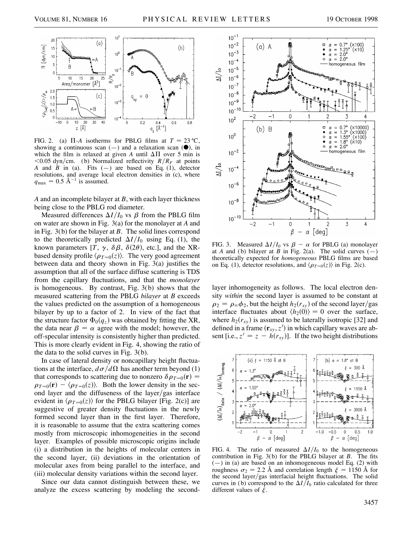

FIG. 2. (a)  $\Pi$ -*A* isotherms for PBLG films at  $T = 23 \degree C$ , showing a continuous scan  $(-)$  and a relaxation scan  $(\bullet)$ , in which the film is relaxed at given *A* until  $\Delta \Pi$  over 5 min is  $<$ 0.05 dyn/cm. (b) Normalized reflectivity *R*/*R<sub>F</sub>* at points *A* and *B* in (a). Fits  $(-)$  are based on Eq. (1), detector resolutions, and average local electron densities in (c), where  $q_{\text{max}} = 0.5 \text{ Å}^{-1}$  is assumed.

*A* and an incomplete bilayer at *B*, with each layer thickness being close to the PBLG rod diameter.

Measured differences  $\Delta I/I_0$  vs  $\beta$  from the PBLG film on water are shown in Fig. 3(a) for the monolayer at *A* and in Fig. 3(b) for the bilayer at *B*. The solid lines correspond to the theoretically predicted  $\Delta I/I_0$  using Eq. (1), the known parameters [*T*,  $\gamma$ ,  $\delta \beta$ ,  $\delta(2\theta)$ , etc.], and the XRbased density profile  $\langle \rho_{T=0}(z) \rangle$ . The very good agreement between data and theory shown in Fig. 3(a) justifies the assumption that all of the surface diffuse scattering is TDS from the capillary fluctuations, and that the *monolayer* is homogeneous. By contrast, Fig. 3(b) shows that the measured scattering from the PBLG *bilayer* at *B* exceeds the values predicted on the assumption of a homogeneous bilayer by up to a factor of 2. In view of the fact that the structure factor  $\Phi_0(q_z)$  was obtained by fitting the XR, the data near  $\beta = \alpha$  agree with the model; however, the off-specular intensity is consistently higher than predicted. This is more clearly evident in Fig. 4, showing the ratio of the data to the solid curves in Fig. 3(b).

In case of lateral density or noncapillary height fluctuations at the interface,  $d\sigma/d\Omega$  has another term beyond (1) that corresponds to scattering due to nonzero  $\delta \rho_{T=0}(\mathbf{r}) =$  $\rho_{T=0}(\mathbf{r}) - \langle \rho_{T=0}(z) \rangle$ . Both the lower density in the second layer and the diffuseness of the layer/gas interface evident in  $\langle \rho_{T=0}(z) \rangle$  for the PBLG bilayer [Fig. 2(c)] are suggestive of greater density fluctuations in the newly formed second layer than in the first layer. Therefore, it is reasonable to assume that the extra scattering comes mostly from microscopic inhomogeneities in the second layer. Examples of possible microscopic origins include (i) a distribution in the heights of molecular centers in the second layer, (ii) deviations in the orientation of molecular axes from being parallel to the interface, and (iii) molecular density variations within the second layer.

Since our data cannot distinguish between these, we analyze the excess scattering by modeling the second-



FIG. 3. Measured  $\Delta I/I_0$  vs  $\beta - \alpha$  for PBLG (a) monolayer at *A* and (b) bilayer at *B* in Fig. 2(a). The solid curves  $(-)$ theoretically expected for *homogeneous* PBLG films are based on Eq. (1), detector resolutions, and  $\langle \rho_{T=0}(z) \rangle$  in Fig. 2(c).

layer inhomogeneity as follows. The local electron density *within* the second layer is assumed to be constant at  $\rho_2 = \rho_{\infty} \phi_2$ , but the height  $h_2(r_{xy})$  of the second layer/gas interface fluctuates about  $\langle h_2(0) \rangle = 0$  over the surface, where  $h_2(r_{xy})$  is assumed to be laterally isotropic [32] and defined in a frame  $(\mathbf{r}_{xy}, z')$  in which capillary waves are absent [i.e.,  $z' = z - h(r_{xy})$ ]. If the two height distributions



FIG. 4. The ratio of measured  $\Delta I/I_0$  to the homogeneous contribution in Fig. 3(b) for the PBLG bilayer at *B*. The fits  $(-)$  in (a) are based on an inhomogeneous model Eq. (2) with roughness  $\sigma_2 = 2.2$  Å and correlation length  $\xi = 1150$  Å for the second layer/gas interfacial height fluctuations. The solid curves in (b) correspond to the  $\Delta I/I_0$  ratio calculated for three different values of  $\xi$ .